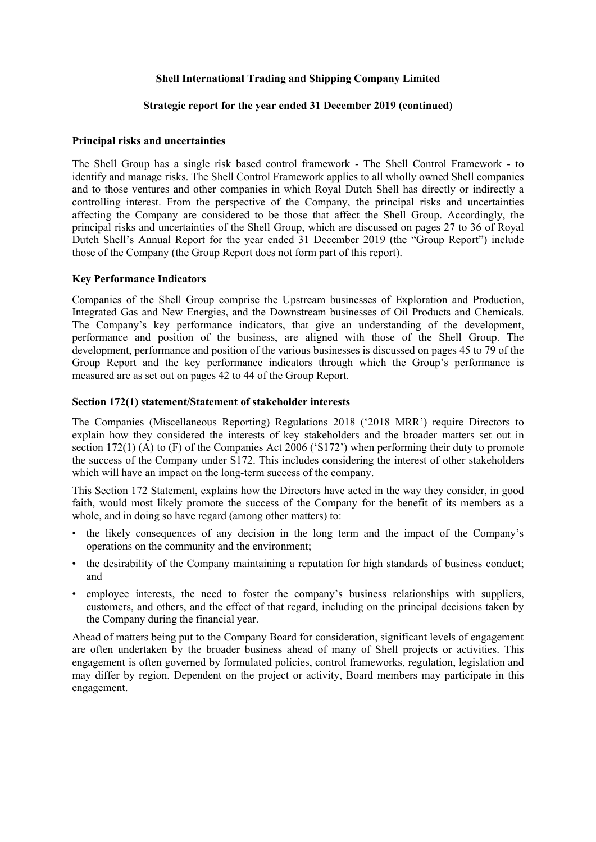# **Strategic report for the year ended 31 December 2019 (continued)**

# **Principal risks and uncertainties**

The Shell Group has a single risk based control framework - The Shell Control Framework - to identify and manage risks. The Shell Control Framework applies to all wholly owned Shell companies and to those ventures and other companies in which Royal Dutch Shell has directly or indirectly a controlling interest. From the perspective of the Company, the principal risks and uncertainties affecting the Company are considered to be those that affect the Shell Group. Accordingly, the principal risks and uncertainties of the Shell Group, which are discussed on pages 27 to 36 of Royal Dutch Shell's Annual Report for the year ended 31 December 2019 (the "Group Report") include those of the Company (the Group Report does not form part of this report).

# **Key Performance Indicators**

Companies of the Shell Group comprise the Upstream businesses of Exploration and Production, Integrated Gas and New Energies, and the Downstream businesses of Oil Products and Chemicals. The Company's key performance indicators, that give an understanding of the development, performance and position of the business, are aligned with those of the Shell Group. The development, performance and position of the various businesses is discussed on pages 45 to 79 of the Group Report and the key performance indicators through which the Group's performance is measured are as set out on pages 42 to 44 of the Group Report.

#### **Section 172(1) statement/Statement of stakeholder interests**

The Companies (Miscellaneous Reporting) Regulations 2018 ('2018 MRR') require Directors to explain how they considered the interests of key stakeholders and the broader matters set out in section 172(1) (A) to (F) of the Companies Act 2006 ('S172') when performing their duty to promote the success of the Company under S172. This includes considering the interest of other stakeholders which will have an impact on the long-term success of the company.

This Section 172 Statement, explains how the Directors have acted in the way they consider, in good faith, would most likely promote the success of the Company for the benefit of its members as a whole, and in doing so have regard (among other matters) to:

- the likely consequences of any decision in the long term and the impact of the Company's operations on the community and the environment;
- the desirability of the Company maintaining a reputation for high standards of business conduct; and
- employee interests, the need to foster the company's business relationships with suppliers, customers, and others, and the effect of that regard, including on the principal decisions taken by the Company during the financial year.

Ahead of matters being put to the Company Board for consideration, significant levels of engagement are often undertaken by the broader business ahead of many of Shell projects or activities. This engagement is often governed by formulated policies, control frameworks, regulation, legislation and may differ by region. Dependent on the project or activity, Board members may participate in this engagement.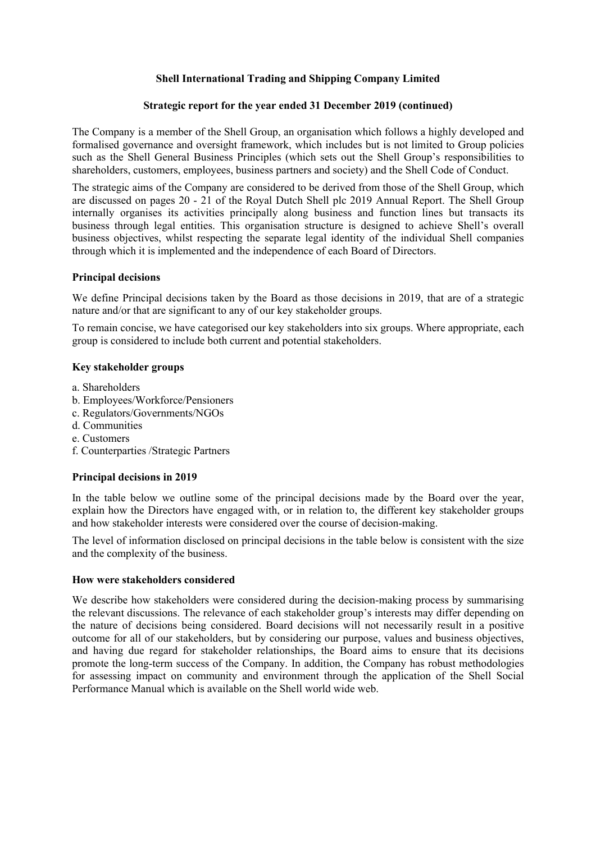# **Strategic report for the year ended 31 December 2019 (continued)**

The Company is a member of the Shell Group, an organisation which follows a highly developed and formalised governance and oversight framework, which includes but is not limited to Group policies such as the Shell General Business Principles (which sets out the Shell Group's responsibilities to shareholders, customers, employees, business partners and society) and the Shell Code of Conduct.

The strategic aims of the Company are considered to be derived from those of the Shell Group, which are discussed on pages 20 - 21 of the Royal Dutch Shell plc 2019 Annual Report. The Shell Group internally organises its activities principally along business and function lines but transacts its business through legal entities. This organisation structure is designed to achieve Shell's overall business objectives, whilst respecting the separate legal identity of the individual Shell companies through which it is implemented and the independence of each Board of Directors.

# **Principal decisions**

We define Principal decisions taken by the Board as those decisions in 2019, that are of a strategic nature and/or that are significant to any of our key stakeholder groups.

To remain concise, we have categorised our key stakeholders into six groups. Where appropriate, each group is considered to include both current and potential stakeholders.

# **Key stakeholder groups**

- a. Shareholders
- b. Employees/Workforce/Pensioners
- c. Regulators/Governments/NGOs
- d. Communities
- e. Customers
- f. Counterparties /Strategic Partners

# **Principal decisions in 2019**

In the table below we outline some of the principal decisions made by the Board over the year, explain how the Directors have engaged with, or in relation to, the different key stakeholder groups and how stakeholder interests were considered over the course of decision-making.

The level of information disclosed on principal decisions in the table below is consistent with the size and the complexity of the business.

# **How were stakeholders considered**

We describe how stakeholders were considered during the decision-making process by summarising the relevant discussions. The relevance of each stakeholder group's interests may differ depending on the nature of decisions being considered. Board decisions will not necessarily result in a positive outcome for all of our stakeholders, but by considering our purpose, values and business objectives, and having due regard for stakeholder relationships, the Board aims to ensure that its decisions promote the long-term success of the Company. In addition, the Company has robust methodologies for assessing impact on community and environment through the application of the Shell Social Performance Manual which is available on the Shell world wide web.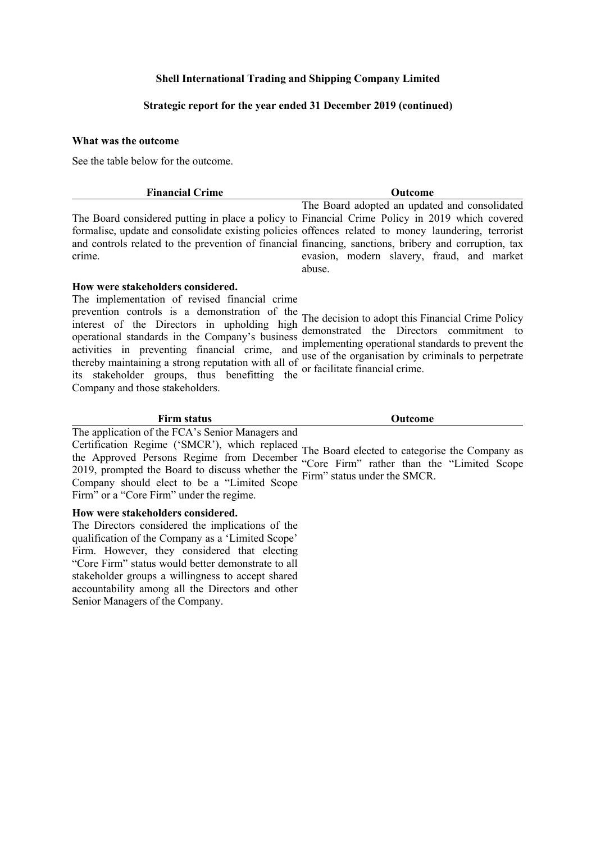# **Strategic report for the year ended 31 December 2019 (continued)**

#### **What was the outcome**

See the table below for the outcome.

| <b>Financial Crime</b>                                                                                | <b>Outcome</b>                                |
|-------------------------------------------------------------------------------------------------------|-----------------------------------------------|
|                                                                                                       | The Board adopted an updated and consolidated |
| The Board considered putting in place a policy to Financial Crime Policy in 2019 which covered        |                                               |
| formalise, update and consolidate existing policies offences related to money laundering, terrorist   |                                               |
| and controls related to the prevention of financial financing, sanctions, bribery and corruption, tax |                                               |
| crime.                                                                                                | evasion, modern slavery, fraud, and market    |
|                                                                                                       | abuse.                                        |

# **How were stakeholders considered.**

The implementation of revised financial crime prevention controls is a demonstration of the The decision to adopt this Financial Crime Policy interest of the Directors in upholding high the decision to adopt this I mancial error commitment to comparison demonstrated the Directors commitment to operational standards in the Company's business operational standards in the Company's business implementing operational standards to prevent the activities in preventing financial crime, and use of the experience by eximinals to perpetrate thereby maintaining a strong reputation with all of the organisation by criminals to perpetrate encicly maintaining a strong reputation with an or or facilitate financial crime.<br>its stakeholder groups, thus benefitting the Company and those stakeholders. use of the organisation by criminals to perpetrate

# **Firm status Outcome**

The application of the FCA's Senior Managers and Certification Regime ('SMCR'), which replaced extends the Approved Persons Regime from December "Company restant than the "I inited Secret 2019, prompted the Board to discuss whether the Firm" status under the SMCR. Company should elect to be a "Limited Scope Firm" or a "Core Firm" under the regime.

#### **How were stakeholders considered.**

The Directors considered the implications of the qualification of the Company as a 'Limited Scope' Firm. However, they considered that electing "Core Firm" status would better demonstrate to all stakeholder groups a willingness to accept shared accountability among all the Directors and other Senior Managers of the Company.

"Core Firm" rather than the "Limited Scope